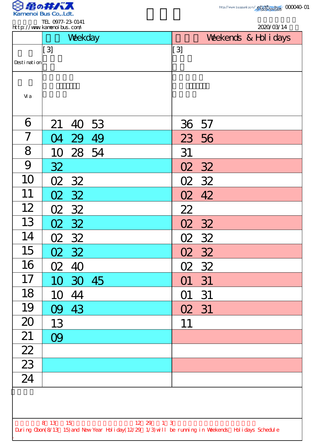

| $[3]$<br>$[3]$<br>Desti nati on<br>Vi a<br>6<br>53<br>21<br>36<br>57<br>40<br>7<br>49<br>23 56<br>29<br>$\Omega$<br>8<br>28 54<br>31<br>10<br>9<br>32<br>32<br>O2<br>10<br>02 32<br>32<br>O2<br>11<br>32<br>42<br>O2<br><b>O2</b><br>12<br>22<br>02 32<br>13<br>02 32<br>O2<br>32<br>14<br>02 32<br>02 32<br>15<br>02 32<br>02 32<br>16<br>O2<br>40<br>02 32<br>17<br>10 30 45<br>31<br>O1<br>18<br>44<br>31<br>10<br>O1<br>19<br>09 43<br>02 31<br>20<br>13<br>11<br>21<br>09<br>$\overline{22}$<br>$\overline{23}$<br>24 | 2020/03/14<br>Weekends & Hol i days |  |  |
|----------------------------------------------------------------------------------------------------------------------------------------------------------------------------------------------------------------------------------------------------------------------------------------------------------------------------------------------------------------------------------------------------------------------------------------------------------------------------------------------------------------------------|-------------------------------------|--|--|
|                                                                                                                                                                                                                                                                                                                                                                                                                                                                                                                            |                                     |  |  |
|                                                                                                                                                                                                                                                                                                                                                                                                                                                                                                                            |                                     |  |  |
|                                                                                                                                                                                                                                                                                                                                                                                                                                                                                                                            |                                     |  |  |
|                                                                                                                                                                                                                                                                                                                                                                                                                                                                                                                            |                                     |  |  |
|                                                                                                                                                                                                                                                                                                                                                                                                                                                                                                                            |                                     |  |  |
|                                                                                                                                                                                                                                                                                                                                                                                                                                                                                                                            |                                     |  |  |
|                                                                                                                                                                                                                                                                                                                                                                                                                                                                                                                            |                                     |  |  |
|                                                                                                                                                                                                                                                                                                                                                                                                                                                                                                                            |                                     |  |  |
|                                                                                                                                                                                                                                                                                                                                                                                                                                                                                                                            |                                     |  |  |
|                                                                                                                                                                                                                                                                                                                                                                                                                                                                                                                            |                                     |  |  |
|                                                                                                                                                                                                                                                                                                                                                                                                                                                                                                                            |                                     |  |  |
|                                                                                                                                                                                                                                                                                                                                                                                                                                                                                                                            |                                     |  |  |
|                                                                                                                                                                                                                                                                                                                                                                                                                                                                                                                            |                                     |  |  |
|                                                                                                                                                                                                                                                                                                                                                                                                                                                                                                                            |                                     |  |  |
|                                                                                                                                                                                                                                                                                                                                                                                                                                                                                                                            |                                     |  |  |
|                                                                                                                                                                                                                                                                                                                                                                                                                                                                                                                            |                                     |  |  |
|                                                                                                                                                                                                                                                                                                                                                                                                                                                                                                                            |                                     |  |  |
|                                                                                                                                                                                                                                                                                                                                                                                                                                                                                                                            |                                     |  |  |
|                                                                                                                                                                                                                                                                                                                                                                                                                                                                                                                            |                                     |  |  |
|                                                                                                                                                                                                                                                                                                                                                                                                                                                                                                                            |                                     |  |  |
|                                                                                                                                                                                                                                                                                                                                                                                                                                                                                                                            |                                     |  |  |
|                                                                                                                                                                                                                                                                                                                                                                                                                                                                                                                            |                                     |  |  |
|                                                                                                                                                                                                                                                                                                                                                                                                                                                                                                                            |                                     |  |  |
| 8 13 15<br>12 29 1 3                                                                                                                                                                                                                                                                                                                                                                                                                                                                                                       |                                     |  |  |